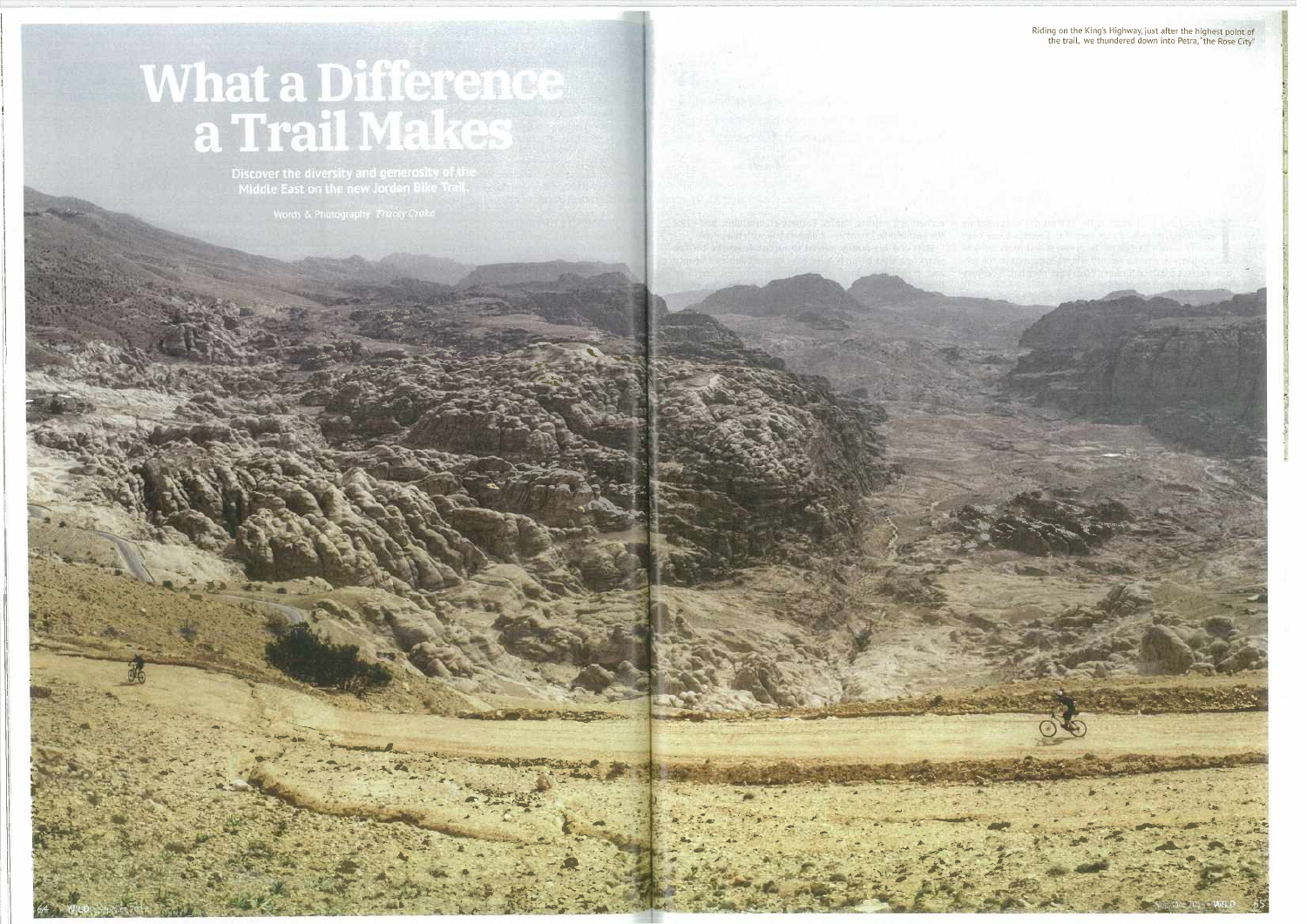# What a Difference<br>a Trail Makes

Discover the diversity and generosity of the<br>Middle East on the new Jordan Bike Trail.

Riding on the King's Highway, just after the highest point of<br>the trail, we thundered down into Petra, "the Rose City"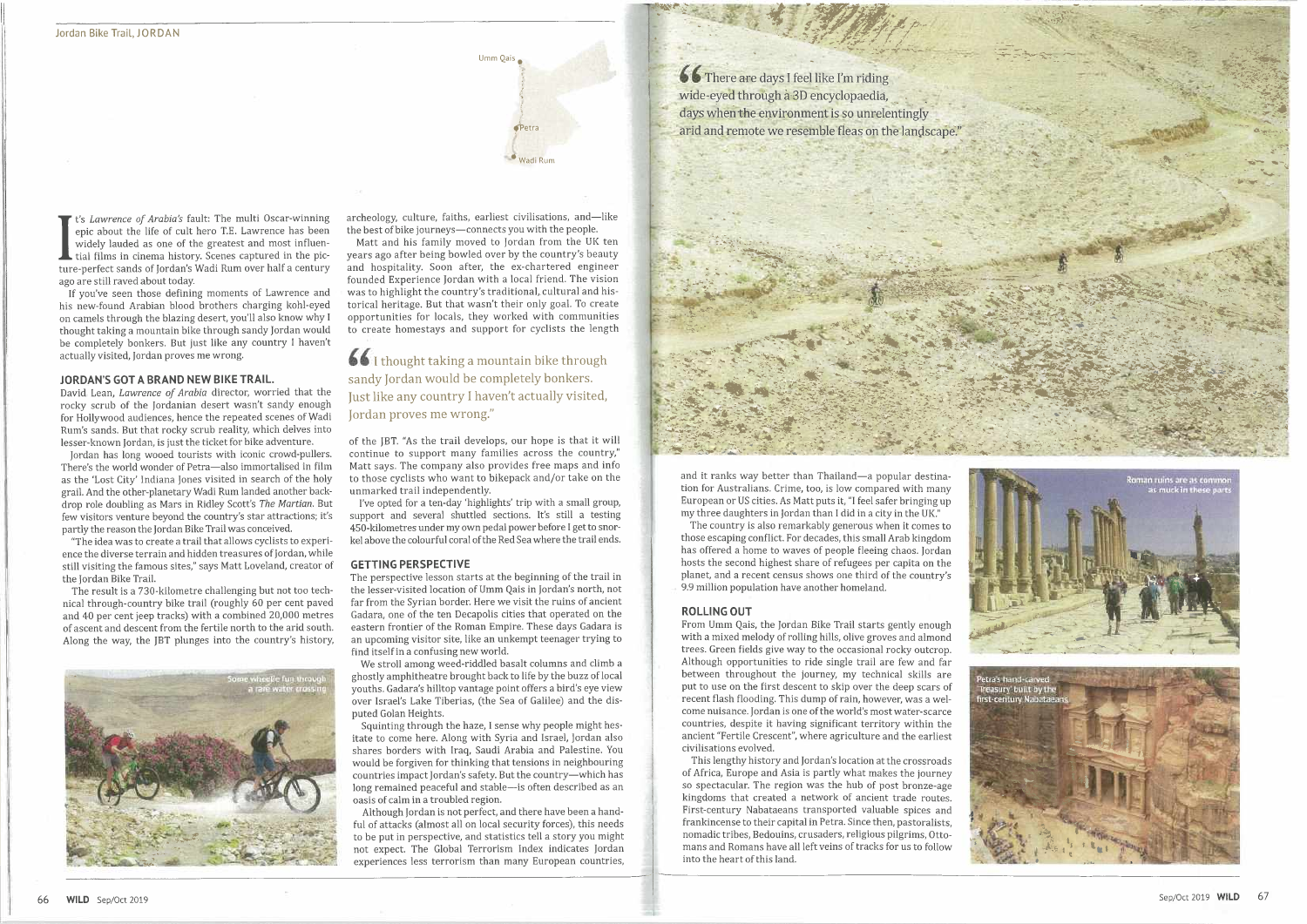

Figure about the the of call hero 1.2. Eawrence has been<br>widely lauded as one of the greatest and most influen-<br>tial films in cinema history. Scenes captured in the pic-<br>ture-perfect sands of Jordan's Wadi Rum over half a *t's Lawrence of Arabia's* fault: The multi Oscar-winning epic about the life of cult hero T.E. Lawrence has been widely lauded as one of the greatest and most influential films in cinema history. Scenes captured in the picago are still raved about today.

If you've seen those defining moments of Lawrence and his new-found Arabian blood brothers charging kohl-eyed on camels through the blazing desert, you'll also know why I thought taking a mountain bike through sandy Jordan would be completely bonkers. But just like any country I haven't actually visited, Jordan proves me wrong.

### **JORDAN'S GOT A BRAND NEW BIKE TRAIL.**

David Lean, *Lawrence of Arabia* director, worried that the rocky scrub of the Jordanian desert wasn't sandy enough for Hollywood audiences, hence the repeated scenes of Wadi Rum's sands. But that rocky scrub reality, which delves into lesser-known Jordan, is just the ticket for bike adventure.

Jordan has long wooed tourists with iconic crowd-pullers. There's the world wonder of Petra—also immortalised in film as the 'Lost City' Indiana Jones visited in search of the holy grail. And the other-planetary Wadi Rum landed another backdrop role doubling as Mars in Ridley Scott's *The Martian.* But few visitors venture beyond the country's star attractions; it's partly the reason the Jordan Bike Trail was conceived.

"The idea was to create a trail that allows cyclists to experience the diverse terrain and hidden treasures of Jordan, while still visiting the famous sites," says Matt Loveland, creator of the Jordan Bike Trail.

The result is a 730-kilometre challenging but not too technical through-country bike trail (roughly 60 per cent paved and 40 per cent jeep tracks) with a combined 20,000 metres of ascent and descent from the fertile north to the arid south. Along the way, the JBT plunges into the country's history,



archeology, culture, faiths, earliest civilisations, and—like the best of bike journeys—connects you with the people.

Matt and his family moved to Jordan from the UK ten years ago after being bowled over by the country's beauty and hospitality. Soon after, the ex-chartered engineer founded Experience Jordan with a local friend. The vision was to highlight the country's traditional, cultural and historical heritage. But that wasn't their only goal. To create opportunities for locals, they worked with communities to create homestays and support for cyclists the length

*CC* I thought taking a mountain bike through sandy Jordan would be completely bonkers. Just like any country I haven't actually visited, Jordan proves me wrong."

of the JBT. "As the trail develops, our hope is that it will continue to support many families across the country," Matt says. The company also provides free maps and info to those cyclists who want to bikepack and/or take on the unmarked trail independently.

I've opted for a ten-day 'highlights' trip with a small group, support and several shuttled sections. It's still a testing 450-kilometres under my own pedal power before I get to snorkel above the colourful coral of the Red Sea where the trail ends.



### **GETTING PERSPECTIVE**

The perspective lesson starts at the beginning of the trail in the lesser-visited location of Umm Qais in Jordan's north, not far from the Syrian border. Here we visit the ruins of ancient Gadara, one of the ten Decapolis cities that operated on the eastern frontier of the Roman Empire. These days Gadara is an upcoming visitor site, like an unkempt teenager trying to find itself in a confusing new world.

We stroll among weed-riddled basalt columns and climb a ghostly amphitheatre brought back to life by the buzz of local youths. Gadara's hilltop vantage point offers a bird's eye view over Israel's Lake Tiberias, (the Sea of Galilee) and the disputed Golan Heights.

Squinting through the haze, I sense why people might hesitate to come here. Along with Syria and Israel, Jordan also shares borders with Iraq, Saudi Arabia and Palestine. You would be forgiven for thinking that tensions in neighbouring countries impact Jordan's safety. But the country—which has long remained peaceful and stable—is often described as an oasis of calm in a troubled region.

Although Jordan is not perfect, and there have been a handful of attacks (almost all on local security forces), this needs to be put in perspective, and statistics tell a story you might not expect. The Global Terrorism Index indicates Jordan experiences less terrorism than many European countries,

days when the environment is so unrelentingly

and it ranks way better than Thailand—a popular destination for Australians. Crime, too, is low compared with many European or US cities. As Matt puts it, "I feel safer bringing up my three daughters in Jordan than I did in a city in the UK."

The country is also remarkably generous when it comes to those escaping conflict. For decades, this small Arab kingdom has offered a home to waves of people fleeing chaos. Jordan hosts the second highest share of refugees per capita on the planet, and a recent census shows one third of the country's 9.9 million population have another homeland.

## **ROLLING OUT**

From Umm Qais, the Jordan Bike Trail starts gently enough with a mixed melody of rolling hills, olive groves and almond trees. Green fields give way to the occasional rocky outcrop. Although opportunities to ride single trail are few and far between throughout the journey, my technical skills are put to use on the first descent to skip over the deep scars of recent flash flooding. This dump of rain, however, was a welcome nuisance. Jordan is one of the world's most water-scarce countries, despite it having significant territory within the ancient "Fertile Crescent", where agriculture and the earliest civilisations evolved.

This lengthy history and Jordan's location at the crossroads of Africa, Europe and Asia is partly what makes the journey so spectacular. The region was the hub of post bronze-age kingdoms that created a network of ancient trade routes. First-century Nabataeans transported valuable spices and frankincense to their capital in Petra. Since then, pastoralists, nomadic tribes, Bedouins, crusaders, religious pilgrims, Ottomans and Romans have all left veins of tracks for us to follow into the heart of this land.